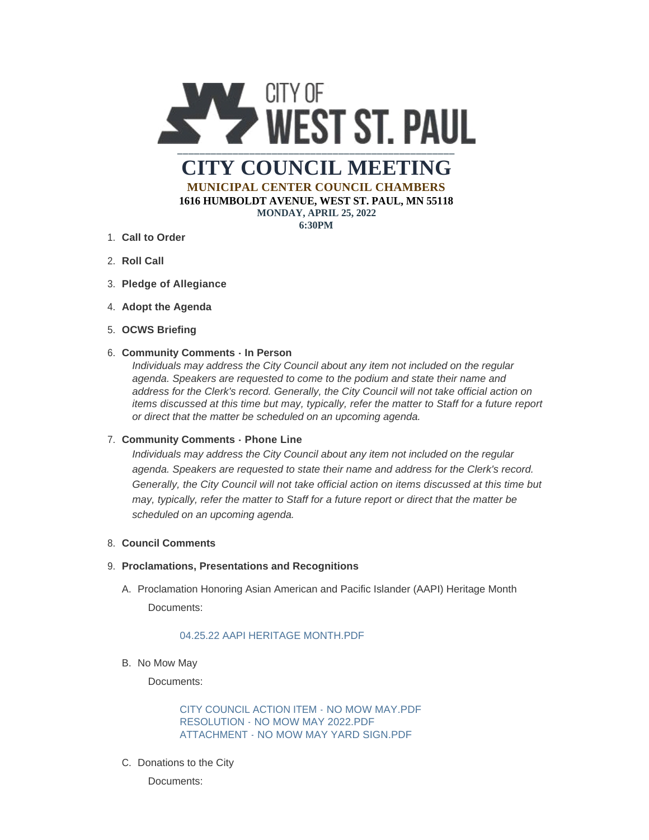

**MUNICIPAL CENTER COUNCIL CHAMBERS 1616 HUMBOLDT AVENUE, WEST ST. PAUL, MN 55118**

**MONDAY, APRIL 25, 2022**

**6:30PM**

- **Call to Order** 1.
- 2. **Roll Call**
- **Pledge of Allegiance** 3.
- 4. Adopt the Agenda
- **OCWS Briefing** 5.

## **Community Comments - In Person** 6.

*Individuals may address the City Council about any item not included on the regular agenda. Speakers are requested to come to the podium and state their name and address for the Clerk's record. Generally, the City Council will not take official action on items discussed at this time but may, typically, refer the matter to Staff for a future report or direct that the matter be scheduled on an upcoming agenda.*

## **Community Comments - Phone Line** 7.

*Individuals may address the City Council about any item not included on the regular agenda. Speakers are requested to state their name and address for the Clerk's record. Generally, the City Council will not take official action on items discussed at this time but may, typically, refer the matter to Staff for a future report or direct that the matter be scheduled on an upcoming agenda.*

## **Council Comments** 8.

## **Proclamations, Presentations and Recognitions** 9.

A. Proclamation Honoring Asian American and Pacific Islander (AAPI) Heritage Month Documents:

# [04.25.22 AAPI HERITAGE MONTH.PDF](https://www.wspmn.gov/AgendaCenter/ViewFile/Item/12888?fileID=19866)

B. No Mow May

Documents:

[CITY COUNCIL ACTION ITEM - NO MOW MAY.PDF](https://www.wspmn.gov/AgendaCenter/ViewFile/Item/12886?fileID=19840) [RESOLUTION - NO MOW MAY 2022.PDF](https://www.wspmn.gov/AgendaCenter/ViewFile/Item/12886?fileID=19847) [ATTACHMENT - NO MOW MAY YARD SIGN.PDF](https://www.wspmn.gov/AgendaCenter/ViewFile/Item/12886?fileID=19837)

C. Donations to the City

Documents: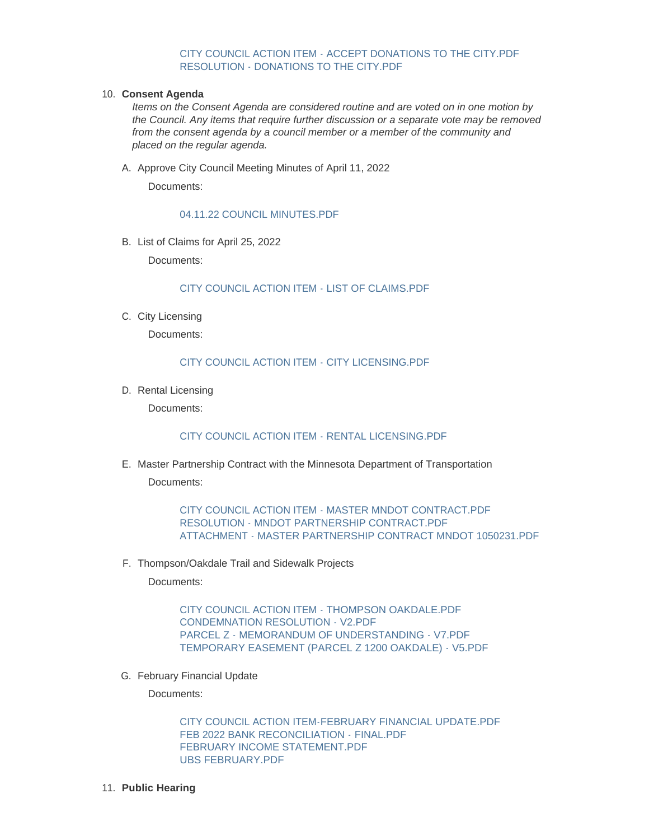#### [CITY COUNCIL ACTION ITEM - ACCEPT DONATIONS TO THE CITY.PDF](https://www.wspmn.gov/AgendaCenter/ViewFile/Item/12846?fileID=19822) [RESOLUTION - DONATIONS TO THE CITY.PDF](https://www.wspmn.gov/AgendaCenter/ViewFile/Item/12846?fileID=19843)

#### **Consent Agenda** 10.

*Items on the Consent Agenda are considered routine and are voted on in one motion by the Council. Any items that require further discussion or a separate vote may be removed from the consent agenda by a council member or a member of the community and placed on the regular agenda.*

A. Approve City Council Meeting Minutes of April 11, 2022

Documents:

[04.11.22 COUNCIL MINUTES.PDF](https://www.wspmn.gov/AgendaCenter/ViewFile/Item/12887?fileID=19842)

B. List of Claims for April 25, 2022

Documents:

[CITY COUNCIL ACTION ITEM - LIST OF CLAIMS.PDF](https://www.wspmn.gov/AgendaCenter/ViewFile/Item/12893?fileID=19852)

C. City Licensing

Documents:

## [CITY COUNCIL ACTION ITEM - CITY LICENSING.PDF](https://www.wspmn.gov/AgendaCenter/ViewFile/Item/12894?fileID=19872)

D. Rental Licensing

Documents:

### [CITY COUNCIL ACTION ITEM - RENTAL LICENSING.PDF](https://www.wspmn.gov/AgendaCenter/ViewFile/Item/12890?fileID=19849)

Master Partnership Contract with the Minnesota Department of Transportation E. Documents:

> [CITY COUNCIL ACTION ITEM - MASTER MNDOT CONTRACT.PDF](https://www.wspmn.gov/AgendaCenter/ViewFile/Item/12850?fileID=19873) [RESOLUTION - MNDOT PARTNERSHIP CONTRACT.PDF](https://www.wspmn.gov/AgendaCenter/ViewFile/Item/12850?fileID=19826) [ATTACHMENT - MASTER PARTNERSHIP CONTRACT MNDOT 1050231.PDF](https://www.wspmn.gov/AgendaCenter/ViewFile/Item/12850?fileID=19827)

F. Thompson/Oakdale Trail and Sidewalk Projects

Documents:

[CITY COUNCIL ACTION ITEM - THOMPSON OAKDALE.PDF](https://www.wspmn.gov/AgendaCenter/ViewFile/Item/12879?fileID=19867) [CONDEMNATION RESOLUTION - V2.PDF](https://www.wspmn.gov/AgendaCenter/ViewFile/Item/12879?fileID=19868) [PARCEL Z - MEMORANDUM OF UNDERSTANDING - V7.PDF](https://www.wspmn.gov/AgendaCenter/ViewFile/Item/12879?fileID=19869) [TEMPORARY EASEMENT \(PARCEL Z 1200 OAKDALE\) - V5.PDF](https://www.wspmn.gov/AgendaCenter/ViewFile/Item/12879?fileID=19870)

G. February Financial Update

Documents:

[CITY COUNCIL ACTION ITEM-FEBRUARY FINANCIAL UPDATE.PDF](https://www.wspmn.gov/AgendaCenter/ViewFile/Item/12851?fileID=19834) [FEB 2022 BANK RECONCILIATION -](https://www.wspmn.gov/AgendaCenter/ViewFile/Item/12851?fileID=19831) FINAL.PDF [FEBRUARY INCOME STATEMENT.PDF](https://www.wspmn.gov/AgendaCenter/ViewFile/Item/12851?fileID=19830) [UBS FEBRUARY.PDF](https://www.wspmn.gov/AgendaCenter/ViewFile/Item/12851?fileID=19833)

**Public Hearing** 11.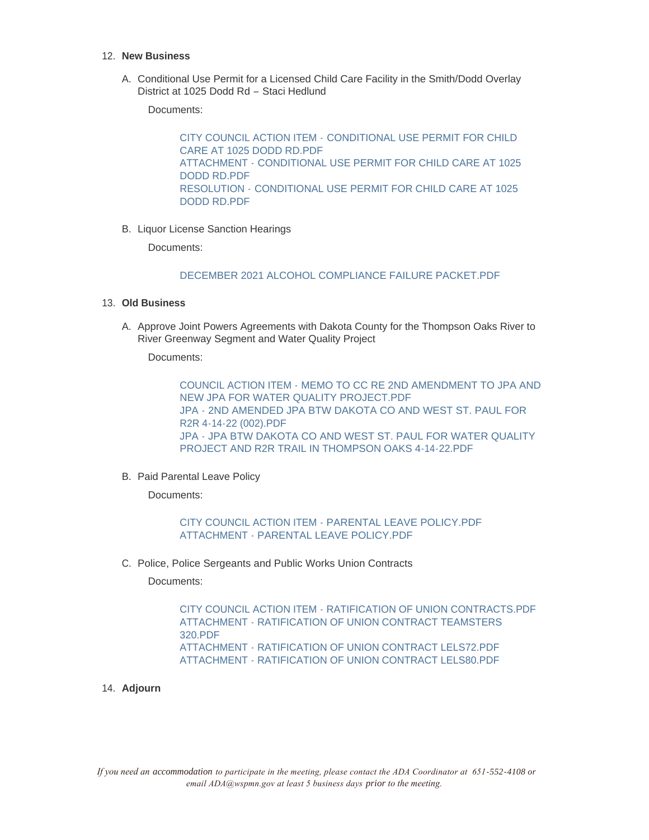#### **New Business** 12.

A. Conditional Use Permit for a Licensed Child Care Facility in the Smith/Dodd Overlay District at 1025 Dodd Rd – Staci Hedlund

Documents:

CITY COUNCIL ACTION ITEM - [CONDITIONAL USE PERMIT FOR CHILD](https://www.wspmn.gov/AgendaCenter/ViewFile/Item/12843?fileID=19845)  CARE AT 1025 DODD RD.PDF ATTACHMENT - [CONDITIONAL USE PERMIT FOR CHILD CARE AT 1025](https://www.wspmn.gov/AgendaCenter/ViewFile/Item/12843?fileID=19844)  DODD RD.PDF RESOLUTION - [CONDITIONAL USE PERMIT FOR CHILD CARE AT 1025](https://www.wspmn.gov/AgendaCenter/ViewFile/Item/12843?fileID=19846)  DODD RD.PDF

B. Liquor License Sanction Hearings

Documents:

[DECEMBER 2021 ALCOHOL COMPLIANCE FAILURE PACKET.PDF](https://www.wspmn.gov/AgendaCenter/ViewFile/Item/12431?fileID=19812)

## **Old Business** 13.

A. Approve Joint Powers Agreements with Dakota County for the Thompson Oaks River to River Greenway Segment and Water Quality Project

Documents:

[COUNCIL ACTION ITEM - MEMO TO CC RE 2ND AMENDMENT TO JPA AND](https://www.wspmn.gov/AgendaCenter/ViewFile/Item/12884?fileID=19856)  NEW JPA FOR WATER QUALITY PROJECT.PDF [JPA - 2ND AMENDED JPA BTW DAKOTA CO AND WEST ST. PAUL FOR](https://www.wspmn.gov/AgendaCenter/ViewFile/Item/12884?fileID=19857)  R2R 4-14-22 (002).PDF [JPA - JPA BTW DAKOTA CO AND WEST ST. PAUL FOR WATER QUALITY](https://www.wspmn.gov/AgendaCenter/ViewFile/Item/12884?fileID=19858)  PROJECT AND R2R TRAIL IN THOMPSON OAKS 4-14-22.PDF

B. Paid Parental Leave Policy

Documents:

[CITY COUNCIL ACTION ITEM - PARENTAL LEAVE POLICY.PDF](https://www.wspmn.gov/AgendaCenter/ViewFile/Item/12892?fileID=19864) [ATTACHMENT - PARENTAL LEAVE POLICY.PDF](https://www.wspmn.gov/AgendaCenter/ViewFile/Item/12892?fileID=19865)

C. Police, Police Sergeants and Public Works Union Contracts

Documents:

[CITY COUNCIL ACTION ITEM - RATIFICATION OF UNION CONTRACTS.PDF](https://www.wspmn.gov/AgendaCenter/ViewFile/Item/12891?fileID=19860) [ATTACHMENT - RATIFICATION OF UNION CONTRACT TEAMSTERS](https://www.wspmn.gov/AgendaCenter/ViewFile/Item/12891?fileID=19861)  320.PDF [ATTACHMENT - RATIFICATION OF UNION CONTRACT LELS72.PDF](https://www.wspmn.gov/AgendaCenter/ViewFile/Item/12891?fileID=19862) [ATTACHMENT - RATIFICATION OF UNION CONTRACT LELS80.PDF](https://www.wspmn.gov/AgendaCenter/ViewFile/Item/12891?fileID=19863)

**Adjourn** 14.